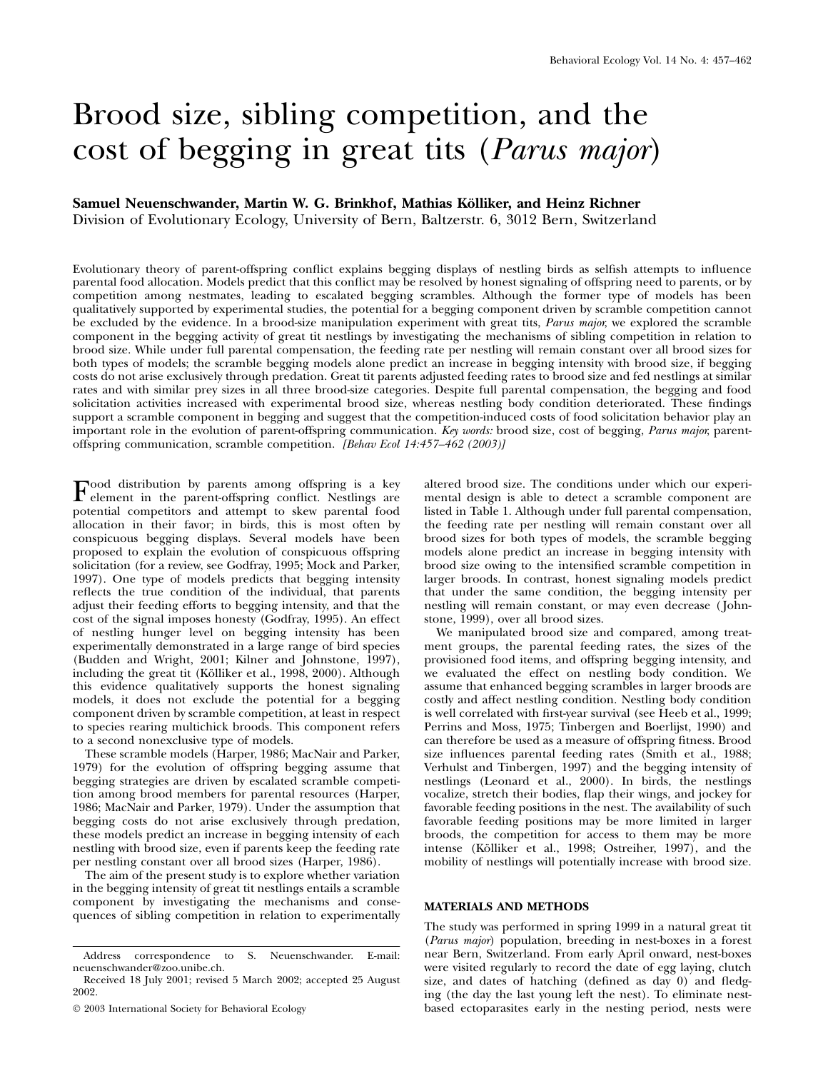# Brood size, sibling competition, and the cost of begging in great tits (Parus major)

# Samuel Neuenschwander, Martin W. G. Brinkhof, Mathias Kölliker, and Heinz Richner

Division of Evolutionary Ecology, University of Bern, Baltzerstr. 6, 3012 Bern, Switzerland

Evolutionary theory of parent-offspring conflict explains begging displays of nestling birds as selfish attempts to influence parental food allocation. Models predict that this conflict may be resolved by honest signaling of offspring need to parents, or by competition among nestmates, leading to escalated begging scrambles. Although the former type of models has been qualitatively supported by experimental studies, the potential for a begging component driven by scramble competition cannot be excluded by the evidence. In a brood-size manipulation experiment with great tits, Parus major, we explored the scramble component in the begging activity of great tit nestlings by investigating the mechanisms of sibling competition in relation to brood size. While under full parental compensation, the feeding rate per nestling will remain constant over all brood sizes for both types of models; the scramble begging models alone predict an increase in begging intensity with brood size, if begging costs do not arise exclusively through predation. Great tit parents adjusted feeding rates to brood size and fed nestlings at similar rates and with similar prey sizes in all three brood-size categories. Despite full parental compensation, the begging and food solicitation activities increased with experimental brood size, whereas nestling body condition deteriorated. These findings support a scramble component in begging and suggest that the competition-induced costs of food solicitation behavior play an important role in the evolution of parent-offspring communication. Key words: brood size, cost of begging, Parus major, parentoffspring communication, scramble competition. [Behav Ecol 14:457–462 (2003)]

Food distribution by parents among offspring is a key<br>element in the parent-offspring conflict. Nestlings are potential competitors and attempt to skew parental food allocation in their favor; in birds, this is most often by conspicuous begging displays. Several models have been proposed to explain the evolution of conspicuous offspring solicitation (for a review, see Godfray, 1995; Mock and Parker, 1997). One type of models predicts that begging intensity reflects the true condition of the individual, that parents adjust their feeding efforts to begging intensity, and that the cost of the signal imposes honesty (Godfray, 1995). An effect of nestling hunger level on begging intensity has been experimentally demonstrated in a large range of bird species (Budden and Wright, 2001; Kilner and Johnstone, 1997), including the great tit (Kölliker et al., 1998, 2000). Although this evidence qualitatively supports the honest signaling models, it does not exclude the potential for a begging component driven by scramble competition, at least in respect to species rearing multichick broods. This component refers to a second nonexclusive type of models.

These scramble models (Harper, 1986; MacNair and Parker, 1979) for the evolution of offspring begging assume that begging strategies are driven by escalated scramble competition among brood members for parental resources (Harper, 1986; MacNair and Parker, 1979). Under the assumption that begging costs do not arise exclusively through predation, these models predict an increase in begging intensity of each nestling with brood size, even if parents keep the feeding rate per nestling constant over all brood sizes (Harper, 1986).

The aim of the present study is to explore whether variation in the begging intensity of great tit nestlings entails a scramble component by investigating the mechanisms and consequences of sibling competition in relation to experimentally

altered brood size. The conditions under which our experimental design is able to detect a scramble component are listed in Table 1. Although under full parental compensation, the feeding rate per nestling will remain constant over all brood sizes for both types of models, the scramble begging models alone predict an increase in begging intensity with brood size owing to the intensified scramble competition in larger broods. In contrast, honest signaling models predict that under the same condition, the begging intensity per nestling will remain constant, or may even decrease ( Johnstone, 1999), over all brood sizes.

We manipulated brood size and compared, among treatment groups, the parental feeding rates, the sizes of the provisioned food items, and offspring begging intensity, and we evaluated the effect on nestling body condition. We assume that enhanced begging scrambles in larger broods are costly and affect nestling condition. Nestling body condition is well correlated with first-year survival (see Heeb et al., 1999; Perrins and Moss, 1975; Tinbergen and Boerlijst, 1990) and can therefore be used as a measure of offspring fitness. Brood size influences parental feeding rates (Smith et al., 1988; Verhulst and Tinbergen, 1997) and the begging intensity of nestlings (Leonard et al., 2000). In birds, the nestlings vocalize, stretch their bodies, flap their wings, and jockey for favorable feeding positions in the nest. The availability of such favorable feeding positions may be more limited in larger broods, the competition for access to them may be more intense (Kölliker et al., 1998; Ostreiher, 1997), and the mobility of nestlings will potentially increase with brood size.

# MATERIALS AND METHODS

The study was performed in spring 1999 in a natural great tit (Parus major) population, breeding in nest-boxes in a forest near Bern, Switzerland. From early April onward, nest-boxes were visited regularly to record the date of egg laying, clutch size, and dates of hatching (defined as day 0) and fledging (the day the last young left the nest). To eliminate nestbased ectoparasites early in the nesting period, nests were

Address correspondence to S. Neuenschwander. E-mail: neuenschwander@zoo.unibe.ch.

Received 18 July 2001; revised 5 March 2002; accepted 25 August 2002.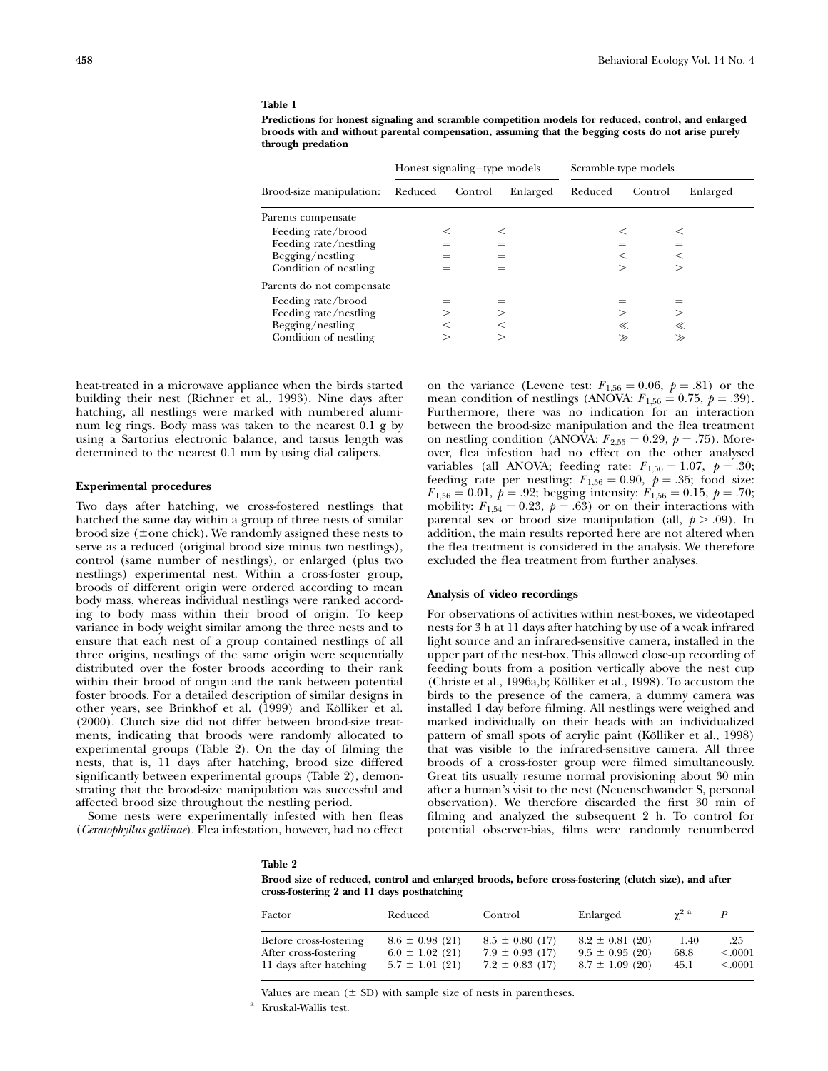#### Table 1

Predictions for honest signaling and scramble competition models for reduced, control, and enlarged broods with and without parental compensation, assuming that the begging costs do not arise purely through predation

|                           | Honest signaling-type models |         |          | Scramble-type models |                |          |
|---------------------------|------------------------------|---------|----------|----------------------|----------------|----------|
| Brood-size manipulation:  | Reduced                      | Control | Enlarged | Reduced              | Control        | Enlarged |
| Parents compensate        |                              |         |          |                      |                |          |
| Feeding rate/brood        |                              |         | $\,<\,$  | $\,<\,$              |                |          |
| Feeding rate/nestling     |                              |         |          |                      |                |          |
| Begging/nestling          | $=$                          |         | $=$      | $\,<\,$              | $\,<$          |          |
| Condition of nestling     | $=$                          | $=$     |          | $\gt$                |                |          |
| Parents do not compensate |                              |         |          |                      |                |          |
| Feeding rate/brood        |                              |         |          |                      |                |          |
| Feeding rate/nestling     | $\rm{>}$                     |         | $\gt$    | $\gt$                | $\rm{>}$       |          |
| Begging/nestling          | $\,<\,$                      |         |          |                      | $\ll$<br>$\ll$ |          |
| Condition of nestling     | >                            |         | $\,>\,$  |                      | ≫<br>≫         |          |

heat-treated in a microwave appliance when the birds started building their nest (Richner et al., 1993). Nine days after hatching, all nestlings were marked with numbered aluminum leg rings. Body mass was taken to the nearest 0.1 g by using a Sartorius electronic balance, and tarsus length was determined to the nearest 0.1 mm by using dial calipers.

#### Experimental procedures

Two days after hatching, we cross-fostered nestlings that hatched the same day within a group of three nests of similar brood size ( $\pm$ one chick). We randomly assigned these nests to serve as a reduced (original brood size minus two nestlings), control (same number of nestlings), or enlarged (plus two nestlings) experimental nest. Within a cross-foster group, broods of different origin were ordered according to mean body mass, whereas individual nestlings were ranked according to body mass within their brood of origin. To keep variance in body weight similar among the three nests and to ensure that each nest of a group contained nestlings of all three origins, nestlings of the same origin were sequentially distributed over the foster broods according to their rank within their brood of origin and the rank between potential foster broods. For a detailed description of similar designs in other years, see Brinkhof et al. (1999) and Kölliker et al. (2000). Clutch size did not differ between brood-size treatments, indicating that broods were randomly allocated to experimental groups (Table 2). On the day of filming the nests, that is, 11 days after hatching, brood size differed significantly between experimental groups (Table 2), demonstrating that the brood-size manipulation was successful and affected brood size throughout the nestling period.

Some nests were experimentally infested with hen fleas (Ceratophyllus gallinae). Flea infestation, however, had no effect

Table 2

on the variance (Levene test:  $F_{1,56} = 0.06$ ,  $p = .81$ ) or the mean condition of nestlings (ANOVA:  $F_{1,56} = 0.75$ ,  $p = .39$ ). Furthermore, there was no indication for an interaction between the brood-size manipulation and the flea treatment on nestling condition (ANOVA:  $F_{2,55} = 0.29$ ,  $p = .75$ ). Moreover, flea infestion had no effect on the other analysed variables (all ANOVA; feeding rate:  $F_{1,56} = 1.07$ ,  $p = .30$ ; feeding rate per nestling:  $F_{1,56} = 0.90$ ,  $p = .35$ ; food size:  $F_{1,56} = 0.01, p = .92$ ; begging intensity:  $F_{1,56} = 0.15, p = .70$ ; mobility:  $F_{1,54} = 0.23$ ,  $p = .63$ ) or on their interactions with parental sex or brood size manipulation (all,  $p > .09$ ). In addition, the main results reported here are not altered when the flea treatment is considered in the analysis. We therefore excluded the flea treatment from further analyses.

#### Analysis of video recordings

For observations of activities within nest-boxes, we videotaped nests for 3 h at 11 days after hatching by use of a weak infrared light source and an infrared-sensitive camera, installed in the upper part of the nest-box. This allowed close-up recording of feeding bouts from a position vertically above the nest cup (Christe et al., 1996a,b; Kölliker et al., 1998). To accustom the birds to the presence of the camera, a dummy camera was installed 1 day before filming. All nestlings were weighed and marked individually on their heads with an individualized pattern of small spots of acrylic paint (Kölliker et al., 1998) that was visible to the infrared-sensitive camera. All three broods of a cross-foster group were filmed simultaneously. Great tits usually resume normal provisioning about 30 min after a human's visit to the nest (Neuenschwander S, personal observation). We therefore discarded the first 30 min of filming and analyzed the subsequent 2 h. To control for potential observer-bias, films were randomly renumbered

Brood size of reduced, control and enlarged broods, before cross-fostering (clutch size), and after cross-fostering 2 and 11 days posthatching

| Factor                 | Reduced             | Control             | Enlarged            | $\gamma^2$ <sup>2</sup> |         |
|------------------------|---------------------|---------------------|---------------------|-------------------------|---------|
| Before cross-fostering | $8.6 \pm 0.98$ (21) | $8.5 \pm 0.80$ (17) | $8.2 \pm 0.81$ (20) | 1.40                    | .25     |
| After cross-fostering  | $6.0 \pm 1.02$ (21) | $7.9 \pm 0.93$ (17) | $9.5 \pm 0.95$ (20) | 68.8                    | < 0.001 |
| 11 days after hatching | $5.7 \pm 1.01$ (21) | $7.2 \pm 0.83$ (17) | $8.7 \pm 1.09$ (20) | 45.1                    | < 0.001 |

Values are mean  $(\pm S)$  with sample size of nests in parentheses.

Kruskal-Wallis test.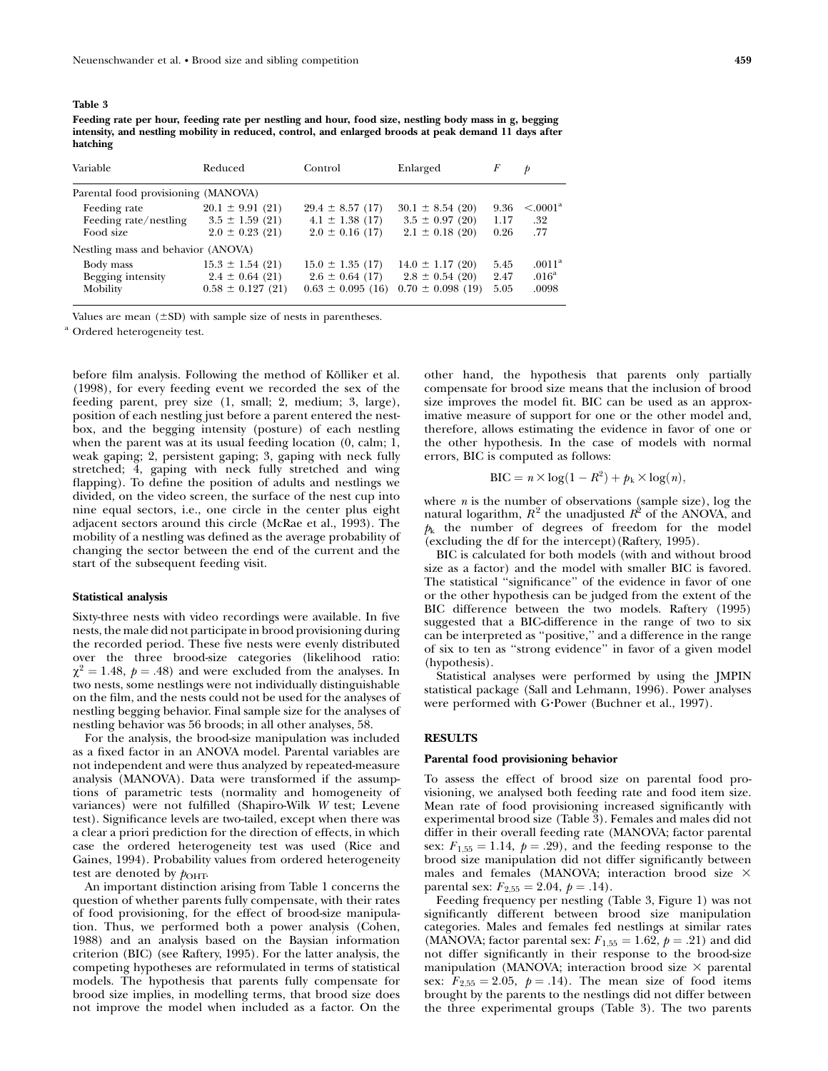Table 3

Feeding rate per hour, feeding rate per nestling and hour, food size, nestling body mass in g, begging intensity, and nestling mobility in reduced, control, and enlarged broods at peak demand 11 days after hatching

| Variable                                           | Reduced                                                              | Control                                                              | Enlarged                                                             | F                    | Þ                                                |
|----------------------------------------------------|----------------------------------------------------------------------|----------------------------------------------------------------------|----------------------------------------------------------------------|----------------------|--------------------------------------------------|
| Parental food provisioning (MANOVA)                |                                                                      |                                                                      |                                                                      |                      |                                                  |
| Feeding rate<br>Feeding rate/nestling<br>Food size | $20.1 \pm 9.91$ (21)<br>$3.5 \pm 1.59$ (21)<br>$2.0 \pm 0.23$ (21)   | $29.4 \pm 8.57$ (17)<br>$4.1 \pm 1.38$ (17)<br>$2.0 \pm 0.16$ (17)   | $30.1 \pm 8.54$ (20)<br>$3.5 \pm 0.97$ (20)<br>$2.1 \pm 0.18$ (20)   | 9.36<br>1.17<br>0.26 | $\leq 0.001^{\rm a}$<br>.32<br>.77               |
| Nestling mass and behavior (ANOVA)                 |                                                                      |                                                                      |                                                                      |                      |                                                  |
| Body mass<br>Begging intensity<br>Mobility         | $15.3 \pm 1.54$ (21)<br>$2.4 \pm 0.64$ (21)<br>$0.58 \pm 0.127$ (21) | $15.0 \pm 1.35$ (17)<br>$2.6 \pm 0.64$ (17)<br>$0.63 \pm 0.095$ (16) | $14.0 \pm 1.17$ (20)<br>$2.8 \pm 0.54$ (20)<br>$0.70 \pm 0.098$ (19) | 5.45<br>2.47<br>5.05 | .0011 <sup>a</sup><br>.016 <sup>a</sup><br>.0098 |

Values are mean  $(\pm SD)$  with sample size of nests in parentheses.

<sup>a</sup> Ordered heterogeneity test.

before film analysis. Following the method of Kölliker et al. (1998), for every feeding event we recorded the sex of the feeding parent, prey size (1, small; 2, medium; 3, large), position of each nestling just before a parent entered the nestbox, and the begging intensity (posture) of each nestling when the parent was at its usual feeding location (0, calm; 1, weak gaping; 2, persistent gaping; 3, gaping with neck fully stretched; 4, gaping with neck fully stretched and wing flapping). To define the position of adults and nestlings we divided, on the video screen, the surface of the nest cup into nine equal sectors, i.e., one circle in the center plus eight adjacent sectors around this circle (McRae et al., 1993). The mobility of a nestling was defined as the average probability of changing the sector between the end of the current and the start of the subsequent feeding visit.

#### Statistical analysis

Sixty-three nests with video recordings were available. In five nests, the male did not participate in brood provisioning during the recorded period. These five nests were evenly distributed over the three brood-size categories (likelihood ratio:  $\chi^2 = 1.48$ ,  $p = .48$ ) and were excluded from the analyses. In two nests, some nestlings were not individually distinguishable on the film, and the nests could not be used for the analyses of nestling begging behavior. Final sample size for the analyses of nestling behavior was 56 broods; in all other analyses, 58.

For the analysis, the brood-size manipulation was included as a fixed factor in an ANOVA model. Parental variables are not independent and were thus analyzed by repeated-measure analysis (MANOVA). Data were transformed if the assumptions of parametric tests (normality and homogeneity of variances) were not fulfilled (Shapiro-Wilk W test; Levene test). Significance levels are two-tailed, except when there was a clear a priori prediction for the direction of effects, in which case the ordered heterogeneity test was used (Rice and Gaines, 1994). Probability values from ordered heterogeneity test are denoted by  $p_{\text{OHT}}$ .

An important distinction arising from Table 1 concerns the question of whether parents fully compensate, with their rates of food provisioning, for the effect of brood-size manipulation. Thus, we performed both a power analysis (Cohen, 1988) and an analysis based on the Baysian information criterion (BIC) (see Raftery, 1995). For the latter analysis, the competing hypotheses are reformulated in terms of statistical models. The hypothesis that parents fully compensate for brood size implies, in modelling terms, that brood size does not improve the model when included as a factor. On the

other hand, the hypothesis that parents only partially compensate for brood size means that the inclusion of brood size improves the model fit. BIC can be used as an approximative measure of support for one or the other model and, therefore, allows estimating the evidence in favor of one or the other hypothesis. In the case of models with normal errors, BIC is computed as follows:

$$
\text{BIC} = n \times \log(1 - R^2) + p_k \times \log(n),
$$

where  $n$  is the number of observations (sample size), log the natural logarithm,  $R^2$  the unadjusted  $R^2$  of the ANOVA, and  $p_k$  the number of degrees of freedom for the model (excluding the df for the intercept)(Raftery, 1995).

BIC is calculated for both models (with and without brood size as a factor) and the model with smaller BIC is favored. The statistical ''significance'' of the evidence in favor of one or the other hypothesis can be judged from the extent of the BIC difference between the two models. Raftery (1995) suggested that a BIC-difference in the range of two to six can be interpreted as ''positive,'' and a difference in the range of six to ten as ''strong evidence'' in favor of a given model (hypothesis).

Statistical analyses were performed by using the JMPIN statistical package (Sall and Lehmann, 1996). Power analyses were performed with G.Power (Buchner et al., 1997).

## RESULTS

#### Parental food provisioning behavior

To assess the effect of brood size on parental food provisioning, we analysed both feeding rate and food item size. Mean rate of food provisioning increased significantly with experimental brood size (Table 3). Females and males did not differ in their overall feeding rate (MANOVA; factor parental sex:  $F_{1,55} = 1.14$ ,  $p = .29$ ), and the feeding response to the brood size manipulation did not differ significantly between males and females (MANOVA; interaction brood size  $\times$ parental sex:  $F_{2,55} = 2.04, p = .14$ .

Feeding frequency per nestling (Table 3, Figure 1) was not significantly different between brood size manipulation categories. Males and females fed nestlings at similar rates (MANOVA; factor parental sex:  $F_{1,55} = 1.62$ ,  $p = .21$ ) and did not differ significantly in their response to the brood-size manipulation (MANOVA; interaction brood size  $\times$  parental sex:  $F_{2,55} = 2.05$ ,  $p = .14$ ). The mean size of food items brought by the parents to the nestlings did not differ between the three experimental groups (Table 3). The two parents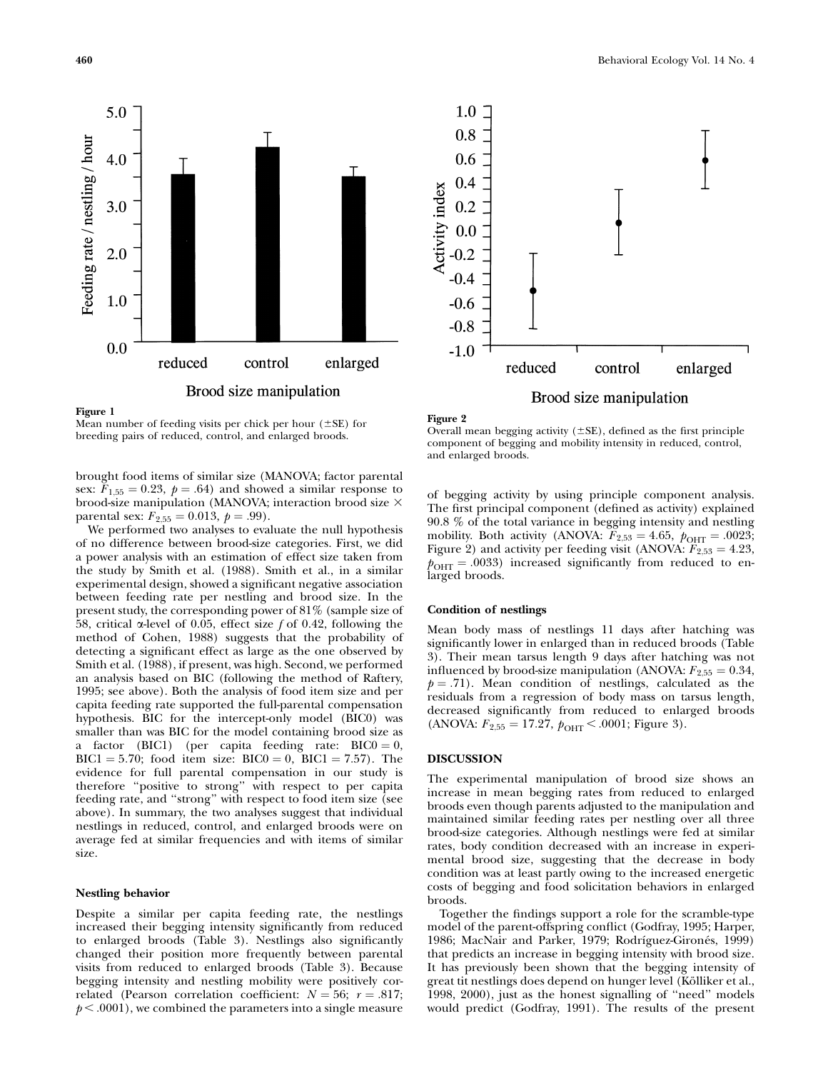



Mean number of feeding visits per chick per hour  $(\pm SE)$  for breeding pairs of reduced, control, and enlarged broods.

brought food items of similar size (MANOVA; factor parental sex:  $F_{1,55} = 0.23$ ,  $p = .64$ ) and showed a similar response to brood-size manipulation (MANOVA; interaction brood size  $\times$ parental sex:  $F_{2.55} = 0.013, p = .99$ .

We performed two analyses to evaluate the null hypothesis of no difference between brood-size categories. First, we did a power analysis with an estimation of effect size taken from the study by Smith et al. (1988). Smith et al., in a similar experimental design, showed a significant negative association between feeding rate per nestling and brood size. In the present study, the corresponding power of 81% (sample size of 58, critical  $\alpha$ -level of 0.05, effect size f of 0.42, following the method of Cohen, 1988) suggests that the probability of detecting a significant effect as large as the one observed by Smith et al. (1988), if present, was high. Second, we performed an analysis based on BIC (following the method of Raftery, 1995; see above). Both the analysis of food item size and per capita feeding rate supported the full-parental compensation hypothesis. BIC for the intercept-only model (BIC0) was smaller than was BIC for the model containing brood size as a factor (BIC1) (per capita feeding rate:  $BIC0 = 0$ ,  $BIC1 = 5.70$ ; food item size:  $BIC0 = 0$ ,  $BIC1 = 7.57$ ). The evidence for full parental compensation in our study is therefore ''positive to strong'' with respect to per capita feeding rate, and ''strong'' with respect to food item size (see above). In summary, the two analyses suggest that individual nestlings in reduced, control, and enlarged broods were on average fed at similar frequencies and with items of similar size.

# Nestling behavior

Despite a similar per capita feeding rate, the nestlings increased their begging intensity significantly from reduced to enlarged broods (Table 3). Nestlings also significantly changed their position more frequently between parental visits from reduced to enlarged broods (Table 3). Because begging intensity and nestling mobility were positively correlated (Pearson correlation coefficient:  $N = 56$ ;  $r = .817$ ;  $p < .0001$ ), we combined the parameters into a single measure



Figure 2

Overall mean begging activity  $(\pm SE)$ , defined as the first principle component of begging and mobility intensity in reduced, control, and enlarged broods.

of begging activity by using principle component analysis. The first principal component (defined as activity) explained 90.8 % of the total variance in begging intensity and nestling mobility. Both activity (ANOVA:  $F_{2,53} = 4.65$ ,  $p_{\text{OHT}} = .0023$ ; Figure 2) and activity per feeding visit (ANOVA:  $\widetilde{F}_{2,53} = 4.23$ ,  $p_{\text{OHT}} = .0033$ ) increased significantly from reduced to enlarged broods.

## Condition of nestlings

Mean body mass of nestlings 11 days after hatching was significantly lower in enlarged than in reduced broods (Table 3). Their mean tarsus length 9 days after hatching was not influenced by brood-size manipulation (ANOVA:  $F_{2,55} = 0.34$ ,  $p = .71$ ). Mean condition of nestlings, calculated as the residuals from a regression of body mass on tarsus length, decreased significantly from reduced to enlarged broods (ANOVA:  $F_{2,55} = 17.27, p_{\text{OHT}} < .0001$ ; Figure 3).

# DISCUSSION

The experimental manipulation of brood size shows an increase in mean begging rates from reduced to enlarged broods even though parents adjusted to the manipulation and maintained similar feeding rates per nestling over all three brood-size categories. Although nestlings were fed at similar rates, body condition decreased with an increase in experimental brood size, suggesting that the decrease in body condition was at least partly owing to the increased energetic costs of begging and food solicitation behaviors in enlarged broods.

Together the findings support a role for the scramble-type model of the parent-offspring conflict (Godfray, 1995; Harper, 1986; MacNair and Parker, 1979; Rodríguez-Gironés, 1999) that predicts an increase in begging intensity with brood size. It has previously been shown that the begging intensity of great tit nestlings does depend on hunger level (Kölliker et al., 1998, 2000), just as the honest signalling of ''need'' models would predict (Godfray, 1991). The results of the present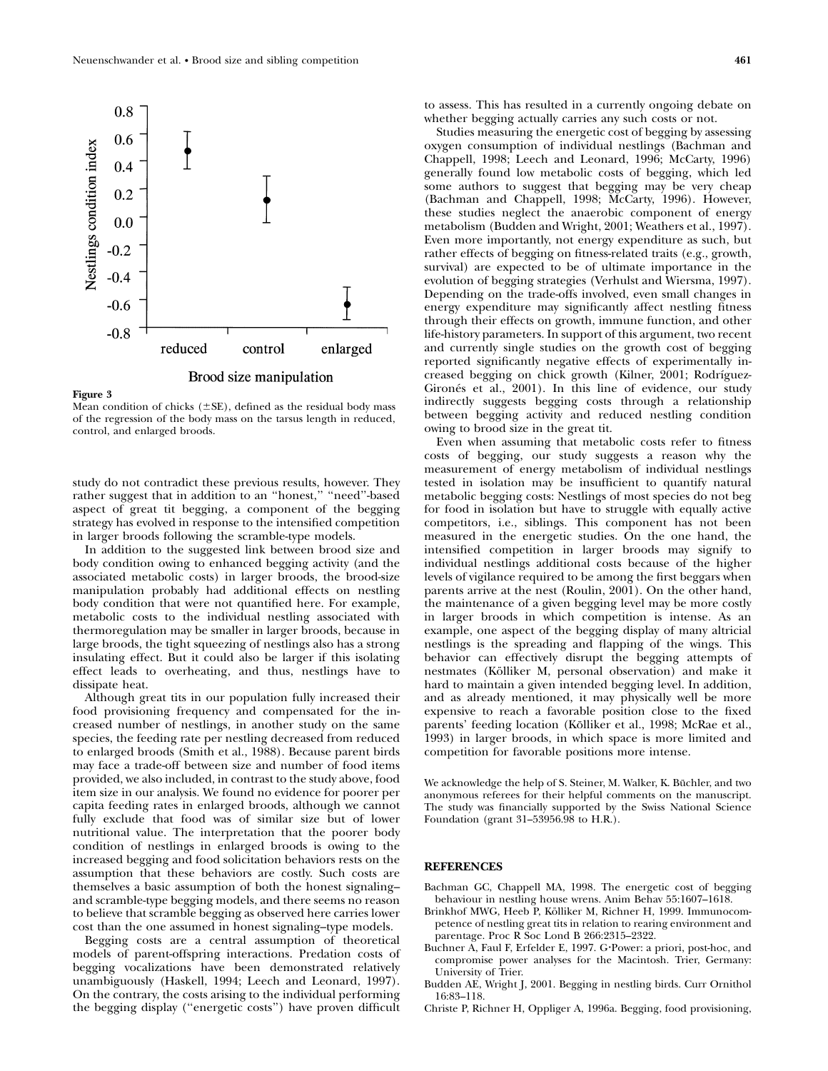

Figure 3

Mean condition of chicks  $(\pm SE)$ , defined as the residual body mass of the regression of the body mass on the tarsus length in reduced, control, and enlarged broods.

study do not contradict these previous results, however. They rather suggest that in addition to an ''honest,'' ''need''-based aspect of great tit begging, a component of the begging strategy has evolved in response to the intensified competition in larger broods following the scramble-type models.

In addition to the suggested link between brood size and body condition owing to enhanced begging activity (and the associated metabolic costs) in larger broods, the brood-size manipulation probably had additional effects on nestling body condition that were not quantified here. For example, metabolic costs to the individual nestling associated with thermoregulation may be smaller in larger broods, because in large broods, the tight squeezing of nestlings also has a strong insulating effect. But it could also be larger if this isolating effect leads to overheating, and thus, nestlings have to dissipate heat.

Although great tits in our population fully increased their food provisioning frequency and compensated for the increased number of nestlings, in another study on the same species, the feeding rate per nestling decreased from reduced to enlarged broods (Smith et al., 1988). Because parent birds may face a trade-off between size and number of food items provided, we also included, in contrast to the study above, food item size in our analysis. We found no evidence for poorer per capita feeding rates in enlarged broods, although we cannot fully exclude that food was of similar size but of lower nutritional value. The interpretation that the poorer body condition of nestlings in enlarged broods is owing to the increased begging and food solicitation behaviors rests on the assumption that these behaviors are costly. Such costs are themselves a basic assumption of both the honest signaling– and scramble-type begging models, and there seems no reason to believe that scramble begging as observed here carries lower cost than the one assumed in honest signaling–type models.

Begging costs are a central assumption of theoretical models of parent-offspring interactions. Predation costs of begging vocalizations have been demonstrated relatively unambiguously (Haskell, 1994; Leech and Leonard, 1997). On the contrary, the costs arising to the individual performing the begging display (''energetic costs'') have proven difficult

to assess. This has resulted in a currently ongoing debate on whether begging actually carries any such costs or not.

Studies measuring the energetic cost of begging by assessing oxygen consumption of individual nestlings (Bachman and Chappell, 1998; Leech and Leonard, 1996; McCarty, 1996) generally found low metabolic costs of begging, which led some authors to suggest that begging may be very cheap (Bachman and Chappell, 1998; McCarty, 1996). However, these studies neglect the anaerobic component of energy metabolism (Budden and Wright, 2001; Weathers et al., 1997). Even more importantly, not energy expenditure as such, but rather effects of begging on fitness-related traits (e.g., growth, survival) are expected to be of ultimate importance in the evolution of begging strategies (Verhulst and Wiersma, 1997). Depending on the trade-offs involved, even small changes in energy expenditure may significantly affect nestling fitness through their effects on growth, immune function, and other life-history parameters. In support of this argument, two recent and currently single studies on the growth cost of begging reported significantly negative effects of experimentally increased begging on chick growth (Kilner, 2001; Rodríguez-Gironés et al., 2001). In this line of evidence, our study indirectly suggests begging costs through a relationship between begging activity and reduced nestling condition owing to brood size in the great tit.

Even when assuming that metabolic costs refer to fitness costs of begging, our study suggests a reason why the measurement of energy metabolism of individual nestlings tested in isolation may be insufficient to quantify natural metabolic begging costs: Nestlings of most species do not beg for food in isolation but have to struggle with equally active competitors, i.e., siblings. This component has not been measured in the energetic studies. On the one hand, the intensified competition in larger broods may signify to individual nestlings additional costs because of the higher levels of vigilance required to be among the first beggars when parents arrive at the nest (Roulin, 2001). On the other hand, the maintenance of a given begging level may be more costly in larger broods in which competition is intense. As an example, one aspect of the begging display of many altricial nestlings is the spreading and flapping of the wings. This behavior can effectively disrupt the begging attempts of nestmates (Kölliker M, personal observation) and make it hard to maintain a given intended begging level. In addition, and as already mentioned, it may physically well be more expensive to reach a favorable position close to the fixed parents' feeding location (Kölliker et al., 1998; McRae et al., 1993) in larger broods, in which space is more limited and competition for favorable positions more intense.

We acknowledge the help of S. Steiner, M. Walker, K. Büchler, and two anonymous referees for their helpful comments on the manuscript. The study was financially supported by the Swiss National Science Foundation (grant 31–53956.98 to H.R.).

#### REFERENCES

- Bachman GC, Chappell MA, 1998. The energetic cost of begging behaviour in nestling house wrens. Anim Behav 55:1607–1618.
- Brinkhof MWG, Heeb P, Kölliker M, Richner H, 1999. Immunocompetence of nestling great tits in relation to rearing environment and parentage. Proc R Soc Lond B 266:2315–2322.
- Buchner A, Faul F, Erfelder E, 1997. G Power: a priori, post-hoc, and compromise power analyses for the Macintosh. Trier, Germany: University of Trier.
- Budden AE, Wright J, 2001. Begging in nestling birds. Curr Ornithol 16:83–118.
- Christe P, Richner H, Oppliger A, 1996a. Begging, food provisioning,